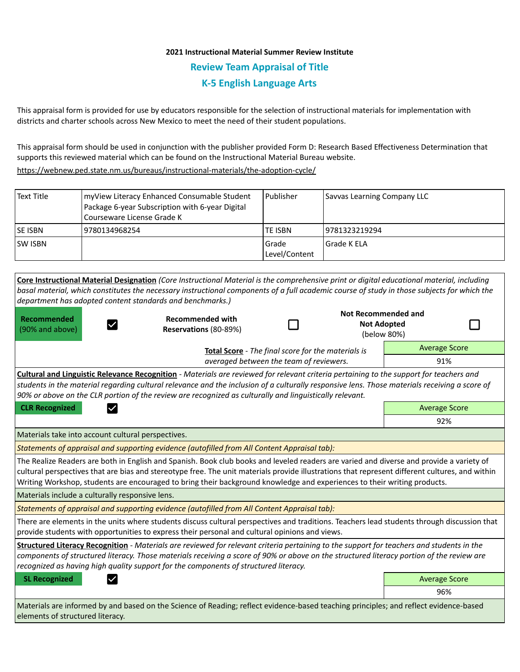## **2021 Instructional Material Summer Review Institute Review Team Appraisal of Title K-5 English Language Arts**

This appraisal form is provided for use by educators responsible for the selection of instructional materials for implementation with districts and charter schools across New Mexico to meet the need of their student populations.

This appraisal form should be used in conjunction with the publisher provided Form D: Research Based Effectiveness Determination that supports this reviewed material which can be found on the Instructional Material Bureau website.

<https://webnew.ped.state.nm.us/bureaus/instructional-materials/the-adoption-cycle/>

| <b>Text Title</b>                                                                                                                              | Package 6-year Subscription with 6-year Digital<br>Courseware License Grade K | myView Literacy Enhanced Consumable Student                                                                                                                                                                                                                                               | Publisher              | Savvas Learning Company LLC |                                                          |  |
|------------------------------------------------------------------------------------------------------------------------------------------------|-------------------------------------------------------------------------------|-------------------------------------------------------------------------------------------------------------------------------------------------------------------------------------------------------------------------------------------------------------------------------------------|------------------------|-----------------------------|----------------------------------------------------------|--|
| <b>SE ISBN</b>                                                                                                                                 | 9780134968254                                                                 |                                                                                                                                                                                                                                                                                           | <b>TE ISBN</b>         | 9781323219294               |                                                          |  |
| ISW ISBN                                                                                                                                       |                                                                               |                                                                                                                                                                                                                                                                                           | Grade<br>Level/Content | Grade K ELA                 |                                                          |  |
|                                                                                                                                                | department has adopted content standards and benchmarks.)                     | Core Instructional Material Designation (Core Instructional Material is the comprehensive print or digital educational material, including<br>basal material, which constitutes the necessary instructional components of a full academic course of study in those subjects for which the |                        |                             |                                                          |  |
| <b>Recommended</b><br>(90% and above)                                                                                                          |                                                                               | <b>Recommended with</b><br>Reservations (80-89%)                                                                                                                                                                                                                                          |                        |                             | Not Recommended and<br><b>Not Adopted</b><br>(below 80%) |  |
|                                                                                                                                                | Total Score - The final score for the materials is                            |                                                                                                                                                                                                                                                                                           |                        |                             | <b>Average Score</b>                                     |  |
| averaged between the team of reviewers.                                                                                                        |                                                                               |                                                                                                                                                                                                                                                                                           |                        | 91%                         |                                                          |  |
| <b>Cultural and Linguistic Relevance Recognition</b> - Materials are reviewed for relevant criteria pertaining to the support for teachers and |                                                                               |                                                                                                                                                                                                                                                                                           |                        |                             |                                                          |  |

*students in the material regarding cultural relevance and the inclusion of a culturally responsive lens. Those materials receiving a score of 90% or above on the CLR portion of the review are recognized as culturally and linguistically relevant.*

**CLR Recognized Average Score Average Score Average Score Average Score** 

Materials take into account cultural perspectives.

*Statements of appraisal and supporting evidence (autofilled from All Content Appraisal tab):* 

The Realize Readers are both in English and Spanish. Book club books and leveled readers are varied and diverse and provide a variety of cultural perspectives that are bias and stereotype free. The unit materials provide illustrations that represent different cultures, and within Writing Workshop, students are encouraged to bring their background knowledge and experiences to their writing products.

Materials include a culturally responsive lens.

*Statements of appraisal and supporting evidence (autofilled from All Content Appraisal tab):* 

There are elements in the units where students discuss cultural perspectives and traditions. Teachers lead students through discussion that provide students with opportunities to express their personal and cultural opinions and views.

**Structured Literacy Recognition** - *Materials are reviewed for relevant criteria pertaining to the support for teachers and students in the components of structured literacy. Those materials receiving a score of 90% or above on the structured literacy portion of the review are recognized as having high quality support for the components of structured literacy.*

**SL Recognized Average Score Average Score Average Score Average Score Average Score** 

92%

96%

Materials are informed by and based on the Science of Reading; reflect evidence-based teaching principles; and reflect evidence-based elements of structured literacy.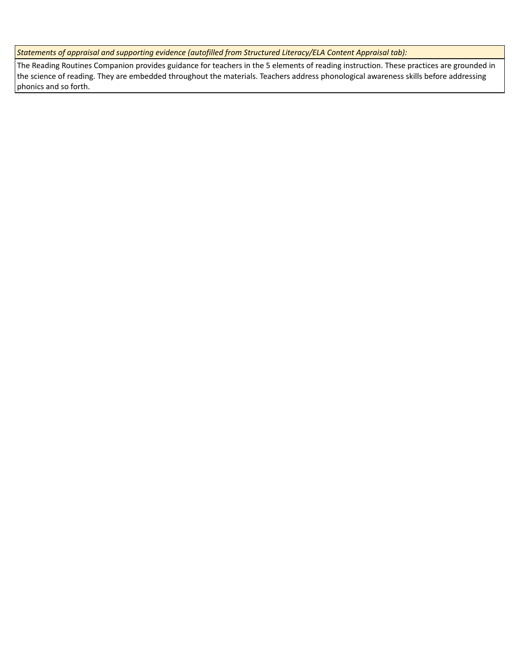*Statements of appraisal and supporting evidence (autofilled from Structured Literacy/ELA Content Appraisal tab):* 

The Reading Routines Companion provides guidance for teachers in the 5 elements of reading instruction. These practices are grounded in the science of reading. They are embedded throughout the materials. Teachers address phonological awareness skills before addressing phonics and so forth.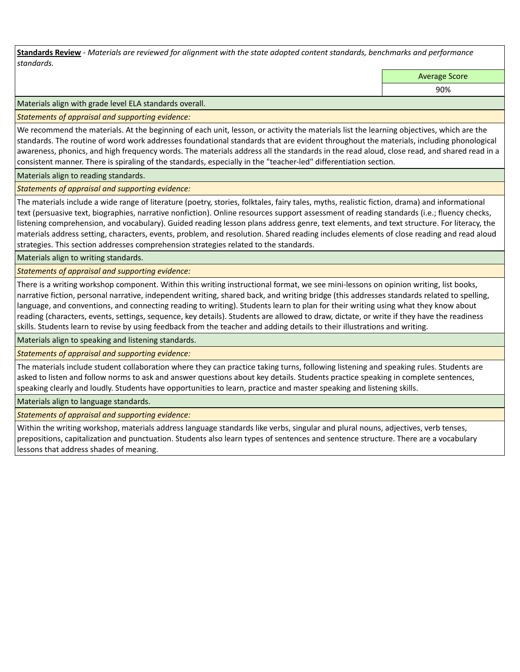**Standards Review** *- Materials are reviewed for alignment with the state adopted content standards, benchmarks and performance standards.*

Average Score

90%

Materials align with grade level ELA standards overall.

*Statements of appraisal and supporting evidence:* 

We recommend the materials. At the beginning of each unit, lesson, or activity the materials list the learning objectives, which are the standards. The routine of word work addresses foundational standards that are evident throughout the materials, including phonological awareness, phonics, and high frequency words. The materials address all the standards in the read aloud, close read, and shared read in a consistent manner. There is spiraling of the standards, especially in the "teacher-led" differentiation section.

Materials align to reading standards.

*Statements of appraisal and supporting evidence:* 

The materials include a wide range of literature (poetry, stories, folktales, fairy tales, myths, realistic fiction, drama) and informational text (persuasive text, biographies, narrative nonfiction). Online resources support assessment of reading standards (i.e.; fluency checks, listening comprehension, and vocabulary). Guided reading lesson plans address genre, text elements, and text structure. For literacy, the materials address setting, characters, events, problem, and resolution. Shared reading includes elements of close reading and read aloud strategies. This section addresses comprehension strategies related to the standards.

Materials align to writing standards.

*Statements of appraisal and supporting evidence:* 

There is a writing workshop component. Within this writing instructional format, we see mini-lessons on opinion writing, list books, narrative fiction, personal narrative, independent writing, shared back, and writing bridge (this addresses standards related to spelling, language, and conventions, and connecting reading to writing). Students learn to plan for their writing using what they know about reading (characters, events, settings, sequence, key details). Students are allowed to draw, dictate, or write if they have the readiness skills. Students learn to revise by using feedback from the teacher and adding details to their illustrations and writing.

Materials align to speaking and listening standards.

*Statements of appraisal and supporting evidence:* 

The materials include student collaboration where they can practice taking turns, following listening and speaking rules. Students are asked to listen and follow norms to ask and answer questions about key details. Students practice speaking in complete sentences, speaking clearly and loudly. Students have opportunities to learn, practice and master speaking and listening skills.

Materials align to language standards.

*Statements of appraisal and supporting evidence:* 

Within the writing workshop, materials address language standards like verbs, singular and plural nouns, adjectives, verb tenses, prepositions, capitalization and punctuation. Students also learn types of sentences and sentence structure. There are a vocabulary lessons that address shades of meaning.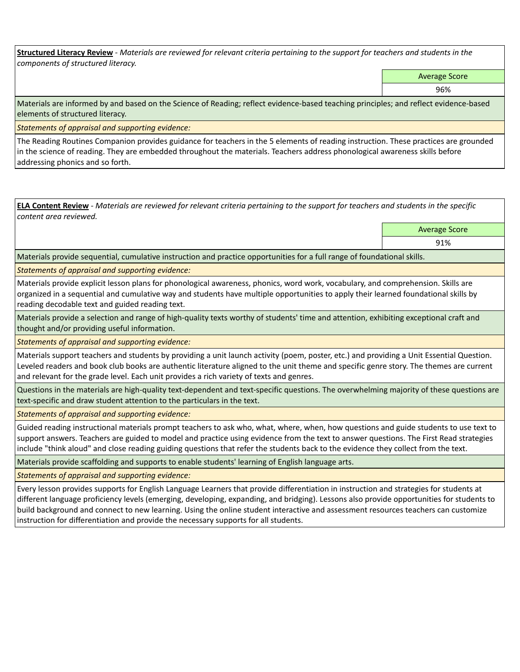**Structured Literacy Review** *- Materials are reviewed for relevant criteria pertaining to the support for teachers and students in the components of structured literacy.*

Average Score

96%

Materials are informed by and based on the Science of Reading; reflect evidence-based teaching principles; and reflect evidence-based elements of structured literacy.

*Statements of appraisal and supporting evidence:*

The Reading Routines Companion provides guidance for teachers in the 5 elements of reading instruction. These practices are grounded in the science of reading. They are embedded throughout the materials. Teachers address phonological awareness skills before addressing phonics and so forth.

**ELA Content Review** *- Materials are reviewed for relevant criteria pertaining to the support for teachers and students in the specific content area reviewed.* Average Score

91%

Materials provide sequential, cumulative instruction and practice opportunities for a full range of foundational skills.

*Statements of appraisal and supporting evidence:* 

Materials provide explicit lesson plans for phonological awareness, phonics, word work, vocabulary, and comprehension. Skills are organized in a sequential and cumulative way and students have multiple opportunities to apply their learned foundational skills by reading decodable text and guided reading text.

Materials provide a selection and range of high-quality texts worthy of students' time and attention, exhibiting exceptional craft and thought and/or providing useful information.

*Statements of appraisal and supporting evidence:* 

Materials support teachers and students by providing a unit launch activity (poem, poster, etc.) and providing a Unit Essential Question. Leveled readers and book club books are authentic literature aligned to the unit theme and specific genre story. The themes are current and relevant for the grade level. Each unit provides a rich variety of texts and genres.

Questions in the materials are high-quality text-dependent and text-specific questions. The overwhelming majority of these questions are text-specific and draw student attention to the particulars in the text.

*Statements of appraisal and supporting evidence:* 

Guided reading instructional materials prompt teachers to ask who, what, where, when, how questions and guide students to use text to support answers. Teachers are guided to model and practice using evidence from the text to answer questions. The First Read strategies include "think aloud" and close reading guiding questions that refer the students back to the evidence they collect from the text.

Materials provide scaffolding and supports to enable students' learning of English language arts.

*Statements of appraisal and supporting evidence:* 

Every lesson provides supports for English Language Learners that provide differentiation in instruction and strategies for students at different language proficiency levels (emerging, developing, expanding, and bridging). Lessons also provide opportunities for students to build background and connect to new learning. Using the online student interactive and assessment resources teachers can customize instruction for differentiation and provide the necessary supports for all students.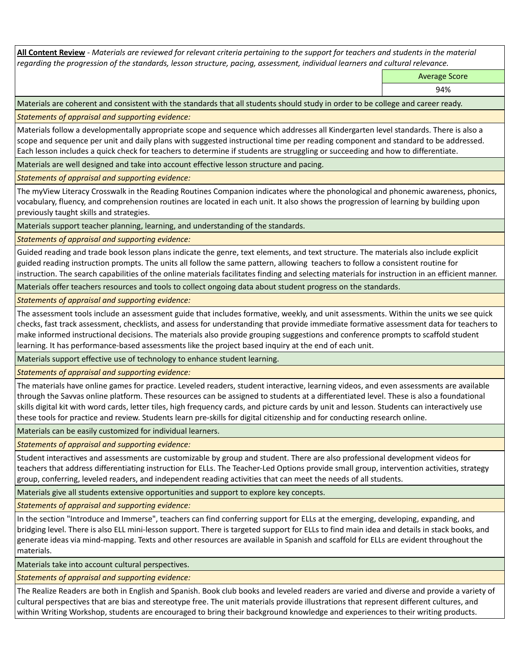**All Content Review** *- Materials are reviewed for relevant criteria pertaining to the support for teachers and students in the material regarding the progression of the standards, lesson structure, pacing, assessment, individual learners and cultural relevance.*

Average Score

94%

Materials are coherent and consistent with the standards that all students should study in order to be college and career ready.

*Statements of appraisal and supporting evidence:*

Materials follow a developmentally appropriate scope and sequence which addresses all Kindergarten level standards. There is also a scope and sequence per unit and daily plans with suggested instructional time per reading component and standard to be addressed. Each lesson includes a quick check for teachers to determine if students are struggling or succeeding and how to differentiate.

Materials are well designed and take into account effective lesson structure and pacing.

*Statements of appraisal and supporting evidence:*

The myView Literacy Crosswalk in the Reading Routines Companion indicates where the phonological and phonemic awareness, phonics, vocabulary, fluency, and comprehension routines are located in each unit. It also shows the progression of learning by building upon previously taught skills and strategies.

Materials support teacher planning, learning, and understanding of the standards.

*Statements of appraisal and supporting evidence:*

Guided reading and trade book lesson plans indicate the genre, text elements, and text structure. The materials also include explicit guided reading instruction prompts. The units all follow the same pattern, allowing teachers to follow a consistent routine for instruction. The search capabilities of the online materials facilitates finding and selecting materials for instruction in an efficient manner.

Materials offer teachers resources and tools to collect ongoing data about student progress on the standards.

*Statements of appraisal and supporting evidence:*

The assessment tools include an assessment guide that includes formative, weekly, and unit assessments. Within the units we see quick checks, fast track assessment, checklists, and assess for understanding that provide immediate formative assessment data for teachers to make informed instructional decisions. The materials also provide grouping suggestions and conference prompts to scaffold student learning. It has performance-based assessments like the project based inquiry at the end of each unit.

Materials support effective use of technology to enhance student learning.

*Statements of appraisal and supporting evidence:*

The materials have online games for practice. Leveled readers, student interactive, learning videos, and even assessments are available through the Savvas online platform. These resources can be assigned to students at a differentiated level. These is also a foundational skills digital kit with word cards, letter tiles, high frequency cards, and picture cards by unit and lesson. Students can interactively use these tools for practice and review. Students learn pre-skills for digital citizenship and for conducting research online.

Materials can be easily customized for individual learners.

*Statements of appraisal and supporting evidence:* 

Student interactives and assessments are customizable by group and student. There are also professional development videos for teachers that address differentiating instruction for ELLs. The Teacher-Led Options provide small group, intervention activities, strategy group, conferring, leveled readers, and independent reading activities that can meet the needs of all students.

Materials give all students extensive opportunities and support to explore key concepts.

*Statements of appraisal and supporting evidence:*

In the section "Introduce and Immerse", teachers can find conferring support for ELLs at the emerging, developing, expanding, and bridging level. There is also ELL mini-lesson support. There is targeted support for ELLs to find main idea and details in stack books, and generate ideas via mind-mapping. Texts and other resources are available in Spanish and scaffold for ELLs are evident throughout the materials.

Materials take into account cultural perspectives.

*Statements of appraisal and supporting evidence:*

The Realize Readers are both in English and Spanish. Book club books and leveled readers are varied and diverse and provide a variety of cultural perspectives that are bias and stereotype free. The unit materials provide illustrations that represent different cultures, and within Writing Workshop, students are encouraged to bring their background knowledge and experiences to their writing products.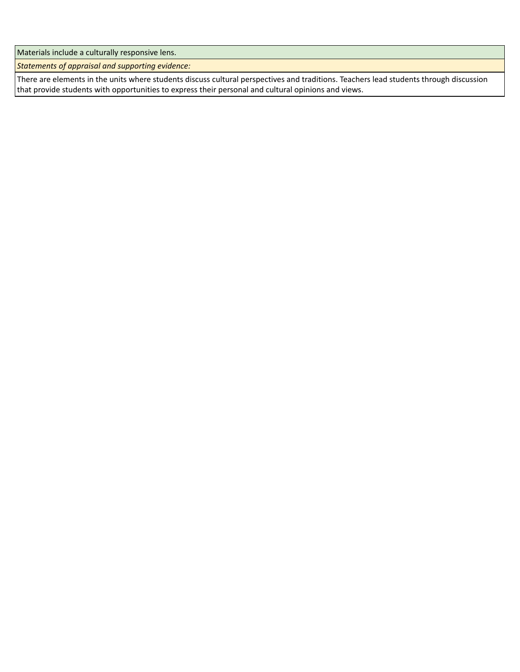Materials include a culturally responsive lens.

*Statements of appraisal and supporting evidence:*

There are elements in the units where students discuss cultural perspectives and traditions. Teachers lead students through discussion that provide students with opportunities to express their personal and cultural opinions and views.